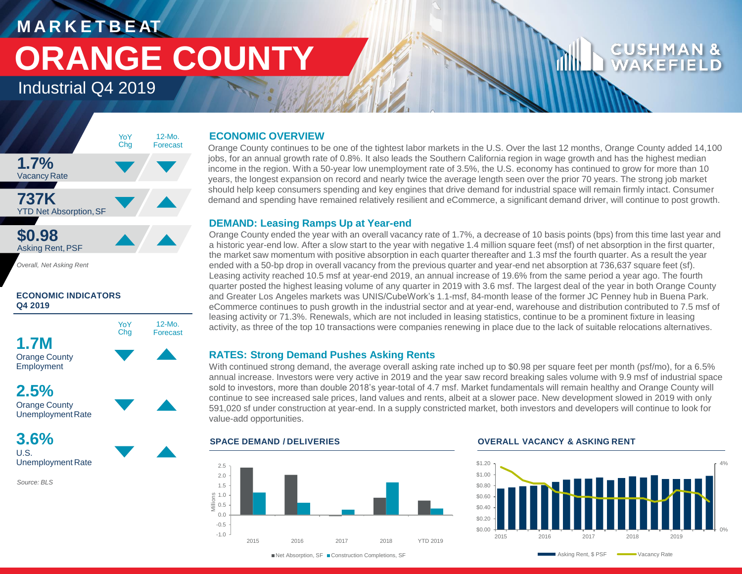# **M A R K E T B E AT ORANGE COUNTY**

## Industrial Q4 2019



*Overall, Net Asking Rent*

#### **ECONOMIC INDICATORS Q4 2019**



Employment

**2.5%** Orange County



**3.6%** U.S. Unemployment Rate

*Source: BLS*

### **ECONOMIC OVERVIEW**

Orange County continues to be one of the tightest labor markets in the U.S. Over the last 12 months, Orange County added 14,100 jobs, for an annual growth rate of 0.8%. It also leads the Southern California region in wage growth and has the highest median income in the region. With a 50-year low unemployment rate of 3.5%, the U.S. economy has continued to grow for more than 10 years, the longest expansion on record and nearly twice the average length seen over the prior 70 years. The strong job market should help keep consumers spending and key engines that drive demand for industrial space will remain firmly intact. Consumer demand and spending have remained relatively resilient and eCommerce, a significant demand driver, will continue to post growth.

### **DEMAND: Leasing Ramps Up at Year-end**

Orange County ended the year with an overall vacancy rate of 1.7%, a decrease of 10 basis points (bps) from this time last year and a historic year-end low. After a slow start to the year with negative 1.4 million square feet (msf) of net absorption in the first quarter, the market saw momentum with positive absorption in each quarter thereafter and 1.3 msf the fourth quarter. As a result the year ended with a 50-bp drop in overall vacancy from the previous quarter and year-end net absorption at 736,637 square feet (sf). Leasing activity reached 10.5 msf at year-end 2019, an annual increase of 19.6% from the same period a year ago. The fourth quarter posted the highest leasing volume of any quarter in 2019 with 3.6 msf. The largest deal of the year in both Orange County and Greater Los Angeles markets was UNIS/CubeWork's 1.1-msf, 84-month lease of the former JC Penney hub in Buena Park. eCommerce continues to push growth in the industrial sector and at year-end, warehouse and distribution contributed to 7.5 msf of leasing activity or 71.3%. Renewals, which are not included in leasing statistics, continue to be a prominent fixture in leasing activity, as three of the top 10 transactions were companies renewing in place due to the lack of suitable relocations alternatives.

### **RATES: Strong Demand Pushes Asking Rents**

With continued strong demand, the average overall asking rate inched up to \$0.98 per square feet per month (psf/mo), for a 6.5% annual increase. Investors were very active in 2019 and the year saw record breaking sales volume with 9.9 msf of industrial space sold to investors, more than double 2018's year-total of 4.7 msf. Market fundamentals will remain healthy and Orange County will continue to see increased sale prices, land values and rents, albeit at a slower pace. New development slowed in 2019 with only 591,020 sf under construction at year-end. In a supply constricted market, both investors and developers will continue to look for value-add opportunities.



#### **SPACE DEMAND / DELIVERIES OVERALL VACANCY & ASKING RENT**



■Net Absorption, SF ■ Construction Completions, SF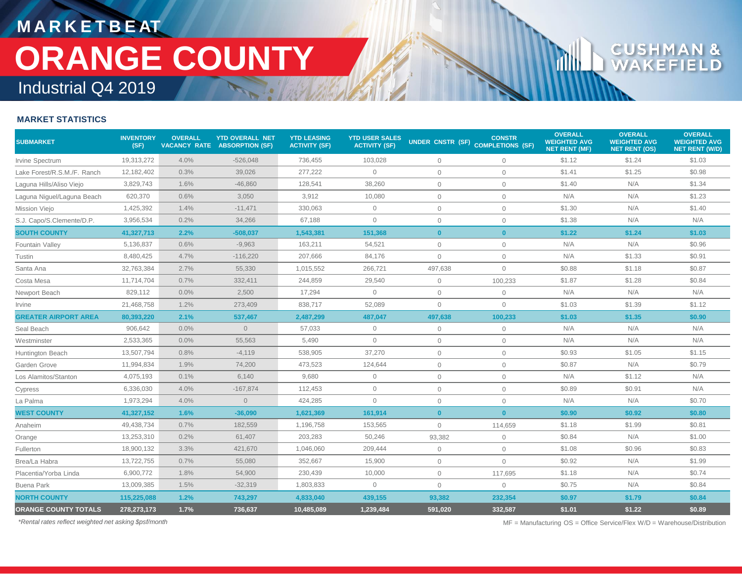# **M A R K E T B E AT** Industrial Q4 2019 **ORANGE COUNTY**

## CU D

(Allh

#### **MARKET STATISTICS**

| <b>SUBMARKET</b>            | <b>INVENTORY</b><br>(SF) | <b>OVERALL</b> | <b>YTD OVERALL NET</b><br><b>VACANCY RATE ABSORPTION (SF)</b> | <b>YTD LEASING</b><br><b>ACTIVITY (SF)</b> | <b>YTD USER SALES</b><br><b>ACTIVITY (SF)</b> | UNDER CNSTR (SF) COMPLETIONS (SF) | <b>CONSTR</b>  | <b>OVERALL</b><br><b>WEIGHTED AVG</b><br><b>NET RENT (MF)</b> | <b>OVERALL</b><br><b>WEIGHTED AVG</b><br><b>NET RENT (OS)</b> | <b>OVERALL</b><br><b>WEIGHTED AVG</b><br>NET RENT (W/D) |
|-----------------------------|--------------------------|----------------|---------------------------------------------------------------|--------------------------------------------|-----------------------------------------------|-----------------------------------|----------------|---------------------------------------------------------------|---------------------------------------------------------------|---------------------------------------------------------|
| Irvine Spectrum             | 19,313,272               | 4.0%           | $-526,048$                                                    | 736,455                                    | 103,028                                       | $\mathbf 0$                       | $\overline{0}$ | \$1.12                                                        | \$1.24                                                        | \$1.03                                                  |
| Lake Forest/R.S.M./F. Ranch | 12,182,402               | 0.3%           | 39,026                                                        | 277,222                                    | $\mathbf 0$                                   | $\circ$                           | $\mathbf 0$    | \$1.41                                                        | \$1.25                                                        | \$0.98                                                  |
| Laguna Hills/Aliso Viejo    | 3,829,743                | 1.6%           | $-46,860$                                                     | 128,541                                    | 38,260                                        | $\circ$                           | $\overline{0}$ | \$1.40                                                        | N/A                                                           | \$1.34                                                  |
| Laguna Niguel/Laguna Beach  | 620,370                  | 0.6%           | 3,050                                                         | 3,912                                      | 10,080                                        | $\mathbf 0$                       | $\overline{0}$ | N/A                                                           | N/A                                                           | \$1.23                                                  |
| <b>Mission Viejo</b>        | 1,425,392                | 1.4%           | $-11,471$                                                     | 330,063                                    | 0                                             | $\mathbf 0$                       | $\mathbf 0$    | \$1.30                                                        | N/A                                                           | \$1.40                                                  |
| S.J. Capo/S.Clemente/D.P.   | 3,956,534                | 0.2%           | 34,266                                                        | 67,188                                     | $\mathbf{0}$                                  | $\circ$                           | $\overline{0}$ | \$1.38                                                        | N/A                                                           | N/A                                                     |
| <b>SOUTH COUNTY</b>         | 41,327,713               | 2.2%           | $-508,037$                                                    | 1,543,381                                  | 151,368                                       | $\mathbf{0}$                      | $\bullet$      | \$1.22                                                        | \$1.24                                                        | \$1.03                                                  |
| Fountain Valley             | 5,136,837                | 0.6%           | $-9,963$                                                      | 163,211                                    | 54,521                                        | $\mathbf 0$                       | $\mathbf 0$    | N/A                                                           | N/A                                                           | \$0.96                                                  |
| Tustin                      | 8,480,425                | 4.7%           | $-116,220$                                                    | 207,666                                    | 84,176                                        | $\mathbf{0}$                      | $\overline{0}$ | N/A                                                           | \$1.33                                                        | \$0.91                                                  |
| Santa Ana                   | 32,763,384               | 2.7%           | 55,330                                                        | 1,015,552                                  | 266.721                                       | 497,638                           | $\overline{0}$ | \$0.88                                                        | \$1.18                                                        | \$0.87                                                  |
| Costa Mesa                  | 11,714,704               | 0.7%           | 332,411                                                       | 244.859                                    | 29,540                                        | $\circ$                           | 100,233        | \$1.87                                                        | \$1.28                                                        | \$0.84                                                  |
| Newport Beach               | 829,112                  | 0.0%           | 2,500                                                         | 17,294                                     | $\Omega$                                      | $\circ$                           | $\mathbf 0$    | N/A                                                           | N/A                                                           | N/A                                                     |
| Irvine                      | 21,468,758               | 1.2%           | 273,409                                                       | 838,717                                    | 52,089                                        | $\circ$                           | $\mathbf 0$    | \$1.03                                                        | \$1.39                                                        | \$1.12                                                  |
| GREATER AIRPORT AREA        | 80,393,220               | 2.1%           | 537,467                                                       | 2,487,299                                  | 487,047                                       | 497,638                           | 100,233        | \$1.03                                                        | \$1.35                                                        | \$0.90                                                  |
| Seal Beach                  | 906,642                  | 0.0%           | $\mathbf{0}$                                                  | 57,033                                     | $\overline{0}$                                | $\circ$                           | $\overline{0}$ | N/A                                                           | N/A                                                           | N/A                                                     |
| Westminster                 | 2,533,365                | 0.0%           | 55,563                                                        | 5,490                                      | $\mathbf{0}$                                  | $\circ$                           | $\mathbf 0$    | N/A                                                           | N/A                                                           | N/A                                                     |
| Huntington Beach            | 13,507,794               | 0.8%           | $-4,119$                                                      | 538,905                                    | 37,270                                        | $\circ$                           | $\mathbf 0$    | \$0.93                                                        | \$1.05                                                        | \$1.15                                                  |
| Garden Grove                | 11,994,834               | 1.9%           | 74,200                                                        | 473,523                                    | 124,644                                       | $\circ$                           | $\overline{0}$ | \$0.87                                                        | N/A                                                           | \$0.79                                                  |
| Los Alamitos/Stanton        | 4,075,193                | 0.1%           | 6,140                                                         | 9,680                                      | $\overline{0}$                                | $\circ$                           | $\mathbf 0$    | N/A                                                           | \$1.12                                                        | N/A                                                     |
| Cypress                     | 6,336,030                | 4.0%           | $-167,874$                                                    | 112,453                                    | $\mathbf 0$                                   | $\circ$                           | $\overline{0}$ | \$0.89                                                        | \$0.91                                                        | N/A                                                     |
| La Palma                    | 1.973.294                | 4.0%           | $\overline{0}$                                                | 424,285                                    | $\Omega$                                      | $\mathbf 0$                       | $\overline{0}$ | N/A                                                           | N/A                                                           | \$0.70                                                  |
| <b>WEST COUNTY</b>          | 41,327,152               | 1.6%           | $-36,090$                                                     | 1,621,369                                  | 161,914                                       | $\mathbf{0}$                      | $\mathbf{0}$   | \$0.90                                                        | \$0.92                                                        | \$0.80                                                  |
| Anaheim                     | 49,438,734               | 0.7%           | 182,559                                                       | 1,196,758                                  | 153,565                                       | $\circ$                           | 114,659        | \$1.18                                                        | \$1.99                                                        | \$0.81                                                  |
| Orange                      | 13,253,310               | 0.2%           | 61,407                                                        | 203,283                                    | 50,246                                        | 93,382                            | $\mathbf 0$    | \$0.84                                                        | N/A                                                           | \$1.00                                                  |
| Fullerton                   | 18,900,132               | 3.3%           | 421,670                                                       | 1,046,060                                  | 209,444                                       | $\circ$                           | $\mathbf 0$    | \$1.08                                                        | \$0.96                                                        | \$0.83                                                  |
| Brea/La Habra               | 13,722,755               | 0.7%           | 55,080                                                        | 352,667                                    | 15,900                                        | $\circ$                           | $\overline{0}$ | \$0.92                                                        | N/A                                                           | \$1.99                                                  |
| Placentia/Yorba Linda       | 6,900,772                | 1.8%           | 54,900                                                        | 230,439                                    | 10,000                                        | $\circ$                           | 117,695        | \$1.18                                                        | N/A                                                           | \$0.74                                                  |
| Buena Park                  | 13,009,385               | 1.5%           | $-32,319$                                                     | 1,803,833                                  | $\overline{0}$                                | $\mathbf 0$                       | $\mathbf 0$    | \$0.75                                                        | N/A                                                           | \$0.84                                                  |
| <b>NORTH COUNTY</b>         | 115,225,088              | 1.2%           | 743,297                                                       | 4,833,040                                  | 439,155                                       | 93,382                            | 232,354        | \$0.97                                                        | \$1.79                                                        | \$0.84                                                  |
| <b>ORANGE COUNTY TOTALS</b> | 278, 273, 173            | 1.7%           | 736,637                                                       | 10,485,089                                 | 1,239,484                                     | 591,020                           | 332,587        | \$1.01                                                        | \$1.22                                                        | \$0.89                                                  |

*\*Rental rates reflect weighted net asking \$psf/month* MF = Manufacturing OS = Office Service/Flex W/D = Warehouse/Distribution